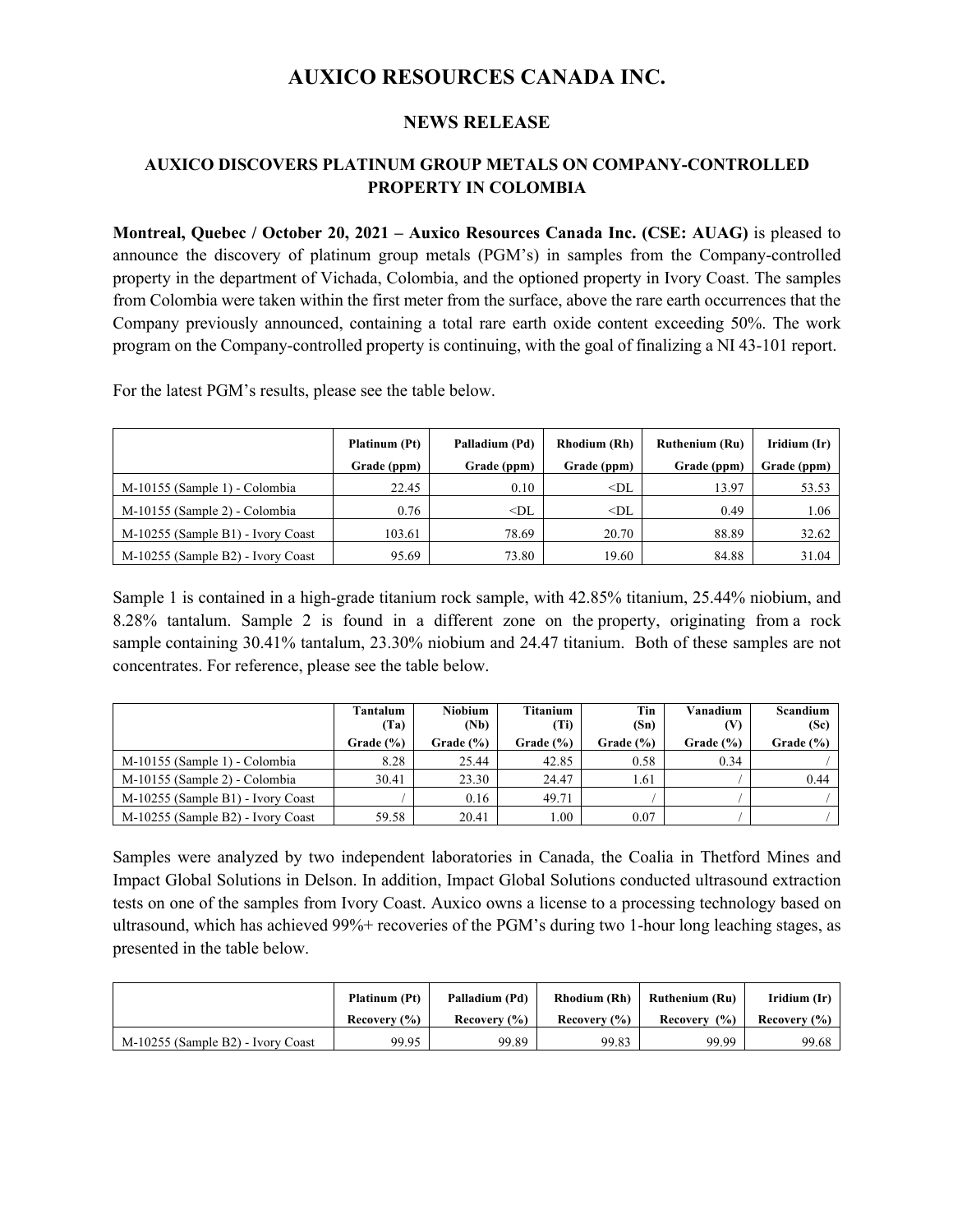# **AUXICO RESOURCES CANADA INC.**

### **NEWS RELEASE**

## **AUXICO DISCOVERS PLATINUM GROUP METALS ON COMPANY-CONTROLLED PROPERTY IN COLOMBIA**

**Montreal, Quebec / October 20, 2021 – Auxico Resources Canada Inc. (CSE: AUAG)** is pleased to announce the discovery of platinum group metals (PGM's) in samples from the Company-controlled property in the department of Vichada, Colombia, and the optioned property in Ivory Coast. The samples from Colombia were taken within the first meter from the surface, above the rare earth occurrences that the Company previously announced, containing a total rare earth oxide content exceeding 50%. The work program on the Company-controlled property is continuing, with the goal of finalizing a NI 43-101 report.

For the latest PGM's results, please see the table below.

|                                   | Platinum (Pt) | Palladium (Pd) | <b>Rhodium (Rh)</b> | <b>Ruthenium (Ru)</b> | Iridium (Ir) |
|-----------------------------------|---------------|----------------|---------------------|-----------------------|--------------|
|                                   | Grade (ppm)   | Grade (ppm)    | Grade (ppm)         | Grade (ppm)           | Grade (ppm)  |
| M-10155 (Sample 1) - Colombia     | 22.45         | 0.10           | $<$ DL              | 13.97                 | 53.53        |
| M-10155 (Sample 2) - Colombia     | 0.76          | $<$ DL         | $<$ DL              | 0.49                  | 1.06         |
| M-10255 (Sample B1) - Ivory Coast | 103.61        | 78.69          | 20.70               | 88.89                 | 32.62        |
| M-10255 (Sample B2) - Ivory Coast | 95.69         | 73.80          | 19.60               | 84.88                 | 31.04        |

Sample 1 is contained in a high-grade titanium rock sample, with 42.85% titanium, 25.44% niobium, and 8.28% tantalum. Sample 2 is found in a different zone on the property, originating from a rock sample containing 30.41% tantalum, 23.30% niobium and 24.47 titanium. Both of these samples are not concentrates. For reference, please see the table below.

|                                   | Tantalum<br>(Ta) | Niobium<br>(Nb) | <b>Titanium</b><br>(Ti) | Tin<br>(Sn)  | Vanadium<br>(V) | Scandium<br>(Sc) |
|-----------------------------------|------------------|-----------------|-------------------------|--------------|-----------------|------------------|
|                                   | Grade(% )        | Grade $(\%)$    | Grade $(\% )$           | Grade $(% )$ | Grade $(\%)$    | Grade $(\% )$    |
| M-10155 (Sample 1) - Colombia     | 8.28             | 25.44           | 42.85                   | 0.58         | 0.34            |                  |
| M-10155 (Sample 2) - Colombia     | 30.41            | 23.30           | 24.47                   | 1.61         |                 | 0.44             |
| M-10255 (Sample B1) - Ivory Coast |                  | 0.16            | 49.71                   |              |                 |                  |
| M-10255 (Sample B2) - Ivory Coast | 59.58            | 20.41           | 00.1                    | 0.07         |                 |                  |

Samples were analyzed by two independent laboratories in Canada, the Coalia in Thetford Mines and Impact Global Solutions in Delson. In addition, Impact Global Solutions conducted ultrasound extraction tests on one of the samples from Ivory Coast. Auxico owns a license to a processing technology based on ultrasound, which has achieved 99%+ recoveries of the PGM's during two 1-hour long leaching stages, as presented in the table below.

|                                   | Platinum (Pt) | Palladium (Pd)   | <b>Rhodium (Rh)</b> | Ruthenium (Ru)     | Iridium (Ir) |
|-----------------------------------|---------------|------------------|---------------------|--------------------|--------------|
|                                   | Recovery (%)  | Recovery $(\% )$ | Recovery $(\% )$    | $($ %)<br>Recovery | Recovery (%) |
| M-10255 (Sample B2) - Ivory Coast | 99.95         | 99.89            | 99.83               | 99.99              | 99.68        |